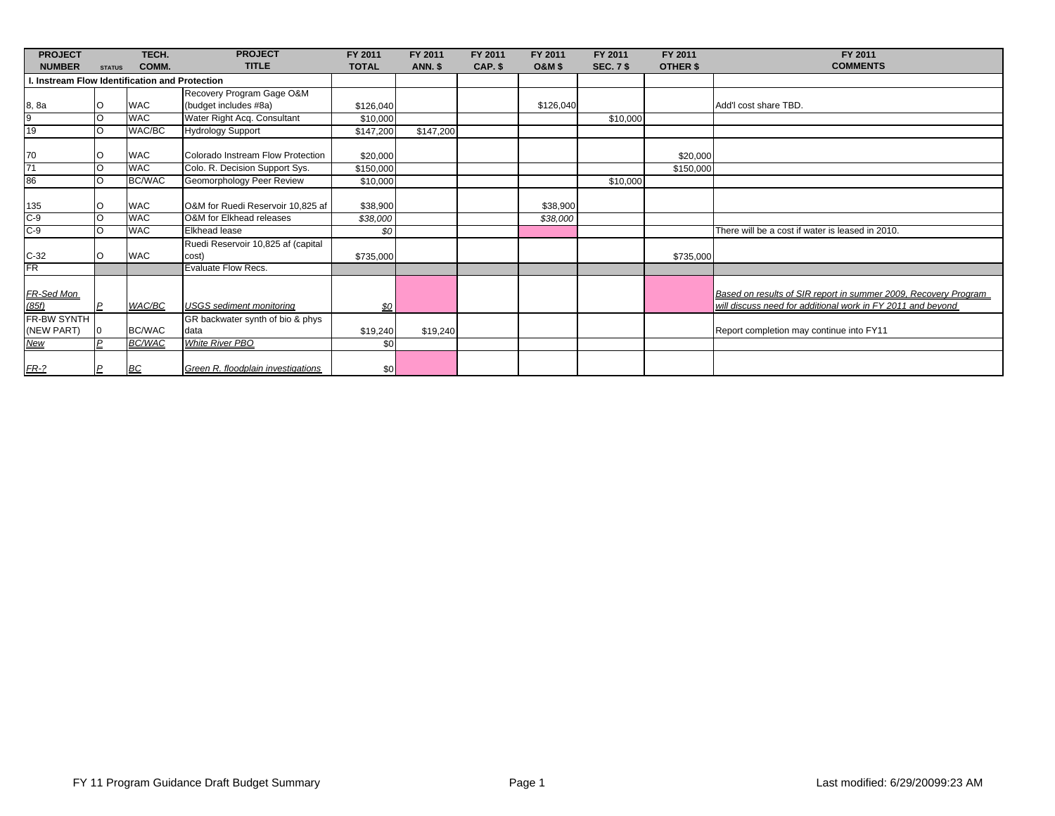| <b>PROJECT</b>                              |                | TECH.         | <b>PROJECT</b>                              | FY 2011      | FY 2011        | FY 2011 | FY 2011           | FY 2011          | FY 2011   | FY 2011                                                                                                                        |
|---------------------------------------------|----------------|---------------|---------------------------------------------|--------------|----------------|---------|-------------------|------------------|-----------|--------------------------------------------------------------------------------------------------------------------------------|
| <b>NUMBER</b>                               | <b>STATUS</b>  | COMM.         | <b>TITLE</b>                                | <b>TOTAL</b> | <b>ANN. \$</b> | CAP. \$ | <b>O&amp;M \$</b> | <b>SEC. 7 \$</b> | OTHER \$  | <b>COMMENTS</b>                                                                                                                |
| Instream Flow Identification and Protection |                |               |                                             |              |                |         |                   |                  |           |                                                                                                                                |
|                                             |                |               | Recovery Program Gage O&M                   |              |                |         |                   |                  |           |                                                                                                                                |
| 8, 8a                                       |                | <b>WAC</b>    | (budget includes #8a)                       | \$126,040    |                |         | \$126,040         |                  |           | Add'I cost share TBD.                                                                                                          |
| 9                                           |                | <b>WAC</b>    | Water Right Acq. Consultant                 | \$10,000     |                |         |                   | \$10,000         |           |                                                                                                                                |
| 19                                          |                | WAC/BC        | <b>Hydrology Support</b>                    | \$147,200    | \$147,200      |         |                   |                  |           |                                                                                                                                |
| 70                                          |                | <b>WAC</b>    | Colorado Instream Flow Protection           | \$20,000     |                |         |                   |                  | \$20,000  |                                                                                                                                |
| 71                                          |                | <b>WAC</b>    | Colo. R. Decision Support Sys.              | \$150,000    |                |         |                   |                  | \$150,000 |                                                                                                                                |
| 86                                          |                | <b>BC/WAC</b> | Geomorphology Peer Review                   | \$10,000     |                |         |                   | \$10,000         |           |                                                                                                                                |
| 135                                         |                | <b>WAC</b>    | O&M for Ruedi Reservoir 10,825 af           | \$38,900     |                |         | \$38,900          |                  |           |                                                                                                                                |
| $C-9$                                       |                | <b>WAC</b>    | O&M for Elkhead releases                    | \$38,000     |                |         | \$38,000          |                  |           |                                                                                                                                |
| $C-9$                                       |                | <b>WAC</b>    | <b>Elkhead lease</b>                        | \$0          |                |         |                   |                  |           | There will be a cost if water is leased in 2010.                                                                               |
| $C-32$                                      |                | <b>WAC</b>    | Ruedi Reservoir 10,825 af (capital<br>cost) | \$735,000    |                |         |                   |                  | \$735,000 |                                                                                                                                |
| FR                                          |                |               | <b>Evaluate Flow Recs.</b>                  |              |                |         |                   |                  |           |                                                                                                                                |
| FR-Sed Mon<br>(85f)                         | $\overline{P}$ | WAC/BC        | <b>USGS</b> sediment monitoring             | \$0          |                |         |                   |                  |           | Based on results of SIR report in summer 2009, Recovery Program<br>will discuss need for additional work in FY 2011 and beyond |
| FR-BW SYNTH                                 |                |               | GR backwater synth of bio & phys            |              |                |         |                   |                  |           |                                                                                                                                |
| (NEW PART)                                  |                | <b>BC/WAC</b> | data                                        | \$19,240     | \$19,240       |         |                   |                  |           | Report completion may continue into FY11                                                                                       |
| New                                         |                | <b>BC/WAC</b> | <b>White River PBO</b>                      | \$0          |                |         |                   |                  |           |                                                                                                                                |
| $FR-2$                                      | D              | BC            | Green R. floodplain investigations          | \$0          |                |         |                   |                  |           |                                                                                                                                |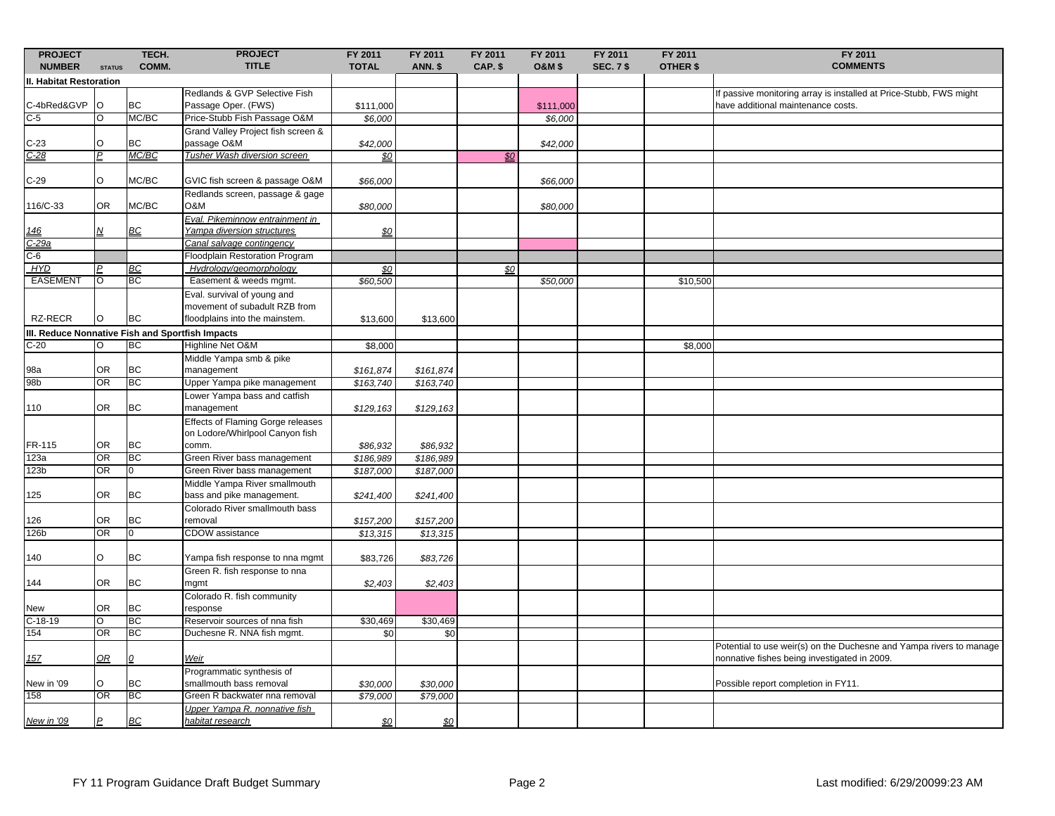| <b>PROJECT</b><br><b>NUMBER</b>                  | <b>STATUS</b> | TECH.<br>COMM. | <b>PROJECT</b><br><b>TITLE</b>                               | FY 2011<br><b>TOTAL</b> | FY 2011<br><b>ANN. \$</b> | FY 2011<br>CAP. \$ | FY 2011<br><b>O&amp;M \$</b> | FY 2011<br><b>SEC. 7 \$</b> | FY 2011<br><b>OTHER \$</b> | FY 2011<br><b>COMMENTS</b>                                                                                          |
|--------------------------------------------------|---------------|----------------|--------------------------------------------------------------|-------------------------|---------------------------|--------------------|------------------------------|-----------------------------|----------------------------|---------------------------------------------------------------------------------------------------------------------|
| II. Habitat Restoration                          |               |                |                                                              |                         |                           |                    |                              |                             |                            |                                                                                                                     |
|                                                  |               |                | Redlands & GVP Selective Fish                                |                         |                           |                    |                              |                             |                            | If passive monitoring array is installed at Price-Stubb, FWS might                                                  |
| C-4bRed&GVP                                      | O             | <b>BC</b>      | Passage Oper. (FWS)                                          | \$111,000               |                           |                    | \$111,000                    |                             |                            | have additional maintenance costs.                                                                                  |
| $C-5$                                            | O             | MC/BC          | Price-Stubb Fish Passage O&M                                 | \$6,000                 |                           |                    | \$6,000                      |                             |                            |                                                                                                                     |
|                                                  |               |                | Grand Valley Project fish screen &                           |                         |                           |                    |                              |                             |                            |                                                                                                                     |
|                                                  | $\Omega$      | <b>BC</b>      | passage O&M                                                  | \$42,000                |                           |                    | \$42,000                     |                             |                            |                                                                                                                     |
| $\frac{C-23}{C-28}$                              | D             | MC/BC          | Tusher Wash diversion screen                                 | \$0                     |                           | \$0                |                              |                             |                            |                                                                                                                     |
|                                                  |               |                |                                                              |                         |                           |                    |                              |                             |                            |                                                                                                                     |
| $C-29$                                           | O             | MC/BC          | GVIC fish screen & passage O&M                               | \$66,000                |                           |                    | \$66,000                     |                             |                            |                                                                                                                     |
|                                                  |               |                | Redlands screen, passage & gage                              |                         |                           |                    |                              |                             |                            |                                                                                                                     |
| 116/C-33                                         | OR.           | MC/BC          | <b>O&amp;M</b>                                               | \$80,000                |                           |                    | \$80,000                     |                             |                            |                                                                                                                     |
|                                                  |               |                | Eval. Pikeminnow entrainment in                              |                         |                           |                    |                              |                             |                            |                                                                                                                     |
| <u> 146</u>                                      | N             | BC             | Yampa diversion structures                                   | \$0                     |                           |                    |                              |                             |                            |                                                                                                                     |
| C-29a                                            |               |                | Canal salvage contingency                                    |                         |                           |                    |                              |                             |                            |                                                                                                                     |
| $C-6$                                            |               |                | Floodplain Restoration Program                               |                         |                           |                    |                              |                             |                            |                                                                                                                     |
| <b>HYD</b>                                       |               | <b>BC</b>      | Hydrology/geomorphology                                      | \$0                     |                           | \$0                |                              |                             |                            |                                                                                                                     |
| <b>EASEMENT</b>                                  | O             | <b>BC</b>      | Easement & weeds mgmt.                                       | \$60,500                |                           |                    | \$50,000                     |                             | \$10,500                   |                                                                                                                     |
|                                                  |               |                | Eval. survival of young and<br>movement of subadult RZB from |                         |                           |                    |                              |                             |                            |                                                                                                                     |
| RZ-RECR                                          |               | <b>BC</b>      | floodplains into the mainstem.                               | \$13,600                | \$13,600                  |                    |                              |                             |                            |                                                                                                                     |
| III. Reduce Nonnative Fish and Sportfish Impacts |               |                |                                                              |                         |                           |                    |                              |                             |                            |                                                                                                                     |
| $C-20$                                           |               | <b>BC</b>      | Highline Net O&M                                             | \$8,000                 |                           |                    |                              |                             | \$8,000                    |                                                                                                                     |
|                                                  |               |                | Middle Yampa smb & pike                                      |                         |                           |                    |                              |                             |                            |                                                                                                                     |
| 98a                                              | 0R            | <b>BC</b>      | management                                                   | \$161,874               | \$161,874                 |                    |                              |                             |                            |                                                                                                                     |
| 98b                                              | OR            | BC             | Upper Yampa pike management                                  | \$163,740               | \$163,740                 |                    |                              |                             |                            |                                                                                                                     |
|                                                  |               |                | Lower Yampa bass and catfish                                 |                         |                           |                    |                              |                             |                            |                                                                                                                     |
| 110                                              | OR.           | <b>BC</b>      | management                                                   | \$129,163               | \$129,163                 |                    |                              |                             |                            |                                                                                                                     |
|                                                  |               |                | <b>Effects of Flaming Gorge releases</b>                     |                         |                           |                    |                              |                             |                            |                                                                                                                     |
|                                                  |               |                | on Lodore/Whirlpool Canyon fish                              |                         |                           |                    |                              |                             |                            |                                                                                                                     |
| FR-115                                           | 0R            | <b>BC</b>      | comm.                                                        | \$86,932                | \$86,932                  |                    |                              |                             |                            |                                                                                                                     |
| 123a                                             | OR            | <b>BC</b>      | Green River bass management                                  | \$186,989               | \$186,989                 |                    |                              |                             |                            |                                                                                                                     |
| 123b                                             | OR            | 0              | Green River bass management                                  | \$187,000               | \$187,000                 |                    |                              |                             |                            |                                                                                                                     |
|                                                  |               |                | Middle Yampa River smallmouth                                |                         |                           |                    |                              |                             |                            |                                                                                                                     |
| 125                                              | 0R            | <b>BC</b>      | bass and pike management.                                    | \$241,400               | \$241,400                 |                    |                              |                             |                            |                                                                                                                     |
|                                                  |               |                | Colorado River smallmouth bass                               |                         |                           |                    |                              |                             |                            |                                                                                                                     |
| 126                                              | OR.           | <b>BC</b>      | removal                                                      | \$157,200               | \$157,200                 |                    |                              |                             |                            |                                                                                                                     |
| 126b                                             | OR            | $\overline{0}$ | <b>CDOW</b> assistance                                       | \$13,315                | \$13,315                  |                    |                              |                             |                            |                                                                                                                     |
|                                                  |               |                |                                                              |                         |                           |                    |                              |                             |                            |                                                                                                                     |
| 140                                              | O             | <b>BC</b>      | Yampa fish response to nna mgmt                              | \$83,726                | \$83,726                  |                    |                              |                             |                            |                                                                                                                     |
|                                                  |               |                | Green R. fish response to nna                                |                         |                           |                    |                              |                             |                            |                                                                                                                     |
| 144                                              | OR            | <b>BC</b>      | mgmt                                                         | \$2,403                 | \$2,403                   |                    |                              |                             |                            |                                                                                                                     |
|                                                  |               |                | Colorado R. fish community                                   |                         |                           |                    |                              |                             |                            |                                                                                                                     |
| <b>New</b>                                       | <b>OR</b>     | <b>BC</b>      | response                                                     |                         |                           |                    |                              |                             |                            |                                                                                                                     |
| $C-18-19$                                        | O             | <b>BC</b>      | Reservoir sources of nna fish                                | \$30,469                | \$30,469                  |                    |                              |                             |                            |                                                                                                                     |
| 154                                              | OR            | <b>BC</b>      | Duchesne R. NNA fish mgmt.                                   | \$0                     | \$0                       |                    |                              |                             |                            |                                                                                                                     |
| 15 <sub>Z</sub>                                  | OR            | $\Omega$       | Weir                                                         |                         |                           |                    |                              |                             |                            | Potential to use weir(s) on the Duchesne and Yampa rivers to manage<br>nonnative fishes being investigated in 2009. |
|                                                  |               |                | Programmatic synthesis of                                    |                         |                           |                    |                              |                             |                            |                                                                                                                     |
| New in '09                                       | O             | <b>BC</b>      | smallmouth bass removal                                      | \$30,000                | \$30,000                  |                    |                              |                             |                            | Possible report completion in FY11.                                                                                 |
| 158                                              | OR            | BC             | Green R backwater nna removal                                | \$79,000                | \$79,000                  |                    |                              |                             |                            |                                                                                                                     |
|                                                  |               |                | Upper Yampa R. nonnative fish                                |                         |                           |                    |                              |                             |                            |                                                                                                                     |
| New in '09                                       | P             | <b>BC</b>      | habitat research                                             | \$0                     | \$0                       |                    |                              |                             |                            |                                                                                                                     |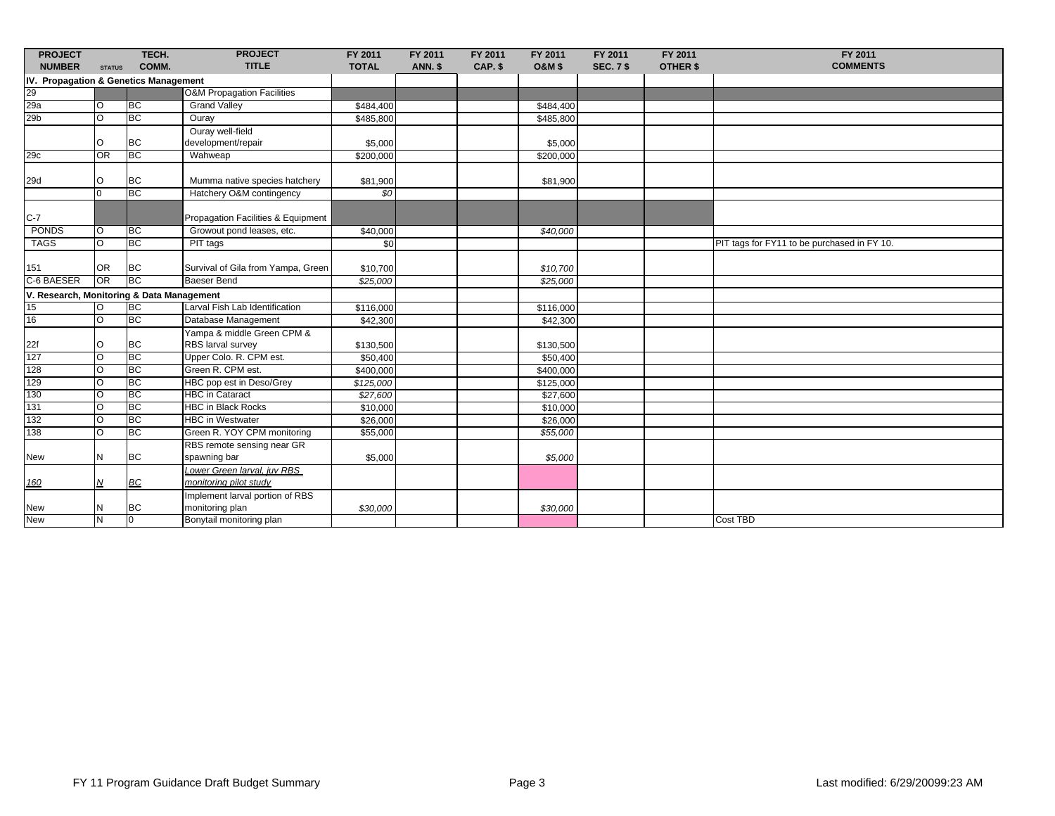| <b>PROJECT</b>                            |               | TECH.                  | <b>PROJECT</b>                                                  | FY 2011           | FY 2011 | FY 2011 | FY 2011           | FY 2011          | FY 2011         | FY 2011                                     |
|-------------------------------------------|---------------|------------------------|-----------------------------------------------------------------|-------------------|---------|---------|-------------------|------------------|-----------------|---------------------------------------------|
| <b>NUMBER</b>                             | <b>STATUS</b> | COMM.                  | <b>TITLE</b>                                                    | <b>TOTAL</b>      | ANN. \$ | CAP. \$ | <b>O&amp;M \$</b> | <b>SEC. 7 \$</b> | <b>OTHER \$</b> | <b>COMMENTS</b>                             |
| IV. Propagation & Genetics Management     |               |                        |                                                                 |                   |         |         |                   |                  |                 |                                             |
| 29                                        |               |                        | <b>O&amp;M Propagation Facilities</b>                           |                   |         |         |                   |                  |                 |                                             |
| 29a                                       | O             | <b>BC</b>              | <b>Grand Valley</b>                                             | \$484,400         |         |         | \$484,400         |                  |                 |                                             |
| 29 <sub>b</sub>                           | O             | <b>BC</b>              | Ouray                                                           | \$485,800         |         |         | \$485,800         |                  |                 |                                             |
|                                           |               |                        | Ouray well-field                                                |                   |         |         |                   |                  |                 |                                             |
|                                           | O             | <b>BC</b>              | development/repair                                              | \$5,000           |         |         | \$5,000           |                  |                 |                                             |
| 29c                                       | OR            | <b>BC</b>              | Wahweap                                                         | \$200,000         |         |         | \$200,000         |                  |                 |                                             |
|                                           |               |                        |                                                                 |                   |         |         |                   |                  |                 |                                             |
| 29d                                       | $\circ$       | <b>BC</b>              | Mumma native species hatchery                                   | \$81,900          |         |         | \$81,900          |                  |                 |                                             |
|                                           |               | <b>BC</b>              | Hatchery O&M contingency                                        | \$0               |         |         |                   |                  |                 |                                             |
|                                           |               |                        |                                                                 |                   |         |         |                   |                  |                 |                                             |
| $C-7$                                     |               |                        | Propagation Facilities & Equipment<br>Growout pond leases, etc. |                   |         |         |                   |                  |                 |                                             |
| PONDS                                     | O             | <b>BC</b><br><b>BC</b> |                                                                 | \$40,000          |         |         | \$40,000          |                  |                 |                                             |
| <b>TAGS</b>                               | $\circ$       |                        | PIT tags                                                        | \$0               |         |         |                   |                  |                 | PIT tags for FY11 to be purchased in FY 10. |
| 151                                       | <b>OR</b>     | <b>BC</b>              | Survival of Gila from Yampa, Green                              | \$10,700          |         |         | \$10,700          |                  |                 |                                             |
| C-6 BAESER                                | <b>OR</b>     | <b>BC</b>              | <b>Baeser Bend</b>                                              | \$25,000          |         |         | \$25,000          |                  |                 |                                             |
| V. Research, Monitoring & Data Management |               |                        |                                                                 |                   |         |         |                   |                  |                 |                                             |
| 15                                        | lo.           | BC                     | Larval Fish Lab Identification                                  | \$116,000         |         |         | \$116,000         |                  |                 |                                             |
| 16                                        | $\Omega$      | <b>BC</b>              | Database Management                                             | \$42,300          |         |         | \$42,300          |                  |                 |                                             |
|                                           |               |                        | Yampa & middle Green CPM &                                      |                   |         |         |                   |                  |                 |                                             |
| 22f                                       | O             | <b>BC</b>              | RBS larval survey                                               | \$130,500         |         |         | \$130,500         |                  |                 |                                             |
| 127                                       | O             | <b>BC</b>              | Upper Colo. R. CPM est.                                         | \$50,400          |         |         | \$50,400          |                  |                 |                                             |
| 128                                       | $\circ$       | <b>BC</b>              | Green R. CPM est.                                               | \$400,000         |         |         | \$400,000         |                  |                 |                                             |
| 129                                       | O             | <b>BC</b>              | HBC pop est in Deso/Grey                                        | $\sqrt{$125,000}$ |         |         | \$125,000         |                  |                 |                                             |
| 130                                       | $\circ$       | <b>BC</b>              | <b>HBC</b> in Cataract                                          | \$27,600          |         |         | \$27,600          |                  |                 |                                             |
| 131                                       | <sup>o</sup>  | <b>BC</b>              | <b>HBC in Black Rocks</b>                                       | \$10,000          |         |         | \$10,000          |                  |                 |                                             |
| 132                                       | $\Omega$      | <b>BC</b>              | <b>HBC</b> in Westwater                                         | \$26,000          |         |         | \$26,000          |                  |                 |                                             |
| 138                                       | $\Omega$      | <b>BC</b>              | Green R. YOY CPM monitoring                                     | \$55,000          |         |         | \$55,000          |                  |                 |                                             |
|                                           |               |                        | RBS remote sensing near GR                                      |                   |         |         |                   |                  |                 |                                             |
| New                                       | Ν             | <b>BC</b>              | spawning bar                                                    | \$5,000           |         |         | \$5,000           |                  |                 |                                             |
| 160                                       | Ν             | <b>BC</b>              | Lower Green larval. iuv RBS<br>monitoring pilot study           |                   |         |         |                   |                  |                 |                                             |
|                                           |               |                        | Implement larval portion of RBS                                 |                   |         |         |                   |                  |                 |                                             |
| New                                       | N             | <b>BC</b>              | monitoring plan                                                 | \$30,000          |         |         | \$30,000          |                  |                 |                                             |
| <b>New</b>                                | N             | $\overline{0}$         | Bonytail monitoring plan                                        |                   |         |         |                   |                  |                 | Cost TBD                                    |